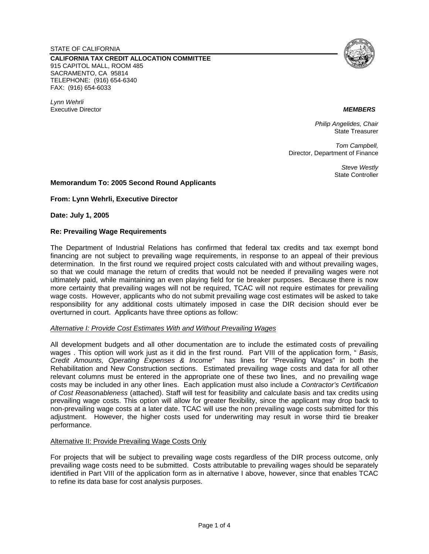STATE OF CALIFORNIA

**CALIFORNIA TAX CREDIT ALLOCATION COMMITTEE**  915 CAPITOL MALL, ROOM 485 SACRAMENTO, CA 95814 TELEPHONE: (916) 654-6340 FAX: (916) 654-6033

*Lynn Wehrli*  Executive Director *MEMBERS*



*Philip Angelides, Chair*  State Treasurer

*Tom Campbell,*  Director, Department of Finance

> *Steve Westly*  State Controller

# **Memorandum To: 2005 Second Round Applicants**

**From: Lynn Wehrli, Executive Director** 

**Date: July 1, 2005** 

### **Re: Prevailing Wage Requirements**

The Department of Industrial Relations has confirmed that federal tax credits and tax exempt bond financing are not subject to prevailing wage requirements, in response to an appeal of their previous determination. In the first round we required project costs calculated with and without prevailing wages, so that we could manage the return of credits that would not be needed if prevailing wages were not ultimately paid, while maintaining an even playing field for tie breaker purposes. Because there is now more certainty that prevailing wages will not be required, TCAC will not require estimates for prevailing wage costs. However, applicants who do not submit prevailing wage cost estimates will be asked to take responsibility for any additional costs ultimately imposed in case the DIR decision should ever be overturned in court. Applicants have three options as follow:

#### *Alternative I: Provide Cost Estimates With and Without Prevailing Wages*

All development budgets and all other documentation are to include the estimated costs of prevailing wages . This option will work just as it did in the first round. Part VIII of the application form, " *Basis, Credit Amounts, Operating Expenses & Income*" has lines for "Prevailing Wages" in both the Rehabilitation and New Construction sections. Estimated prevailing wage costs and data for all other relevant columns must be entered in the appropriate one of these two lines, and no prevailing wage costs may be included in any other lines. Each application must also include a *Contractor's Certification of Cost Reasonableness* (attached). Staff will test for feasibility and calculate basis and tax credits using prevailing wage costs. This option will allow for greater flexibility, since the applicant may drop back to non-prevailing wage costs at a later date. TCAC will use the non prevailing wage costs submitted for this adjustment. However, the higher costs used for underwriting may result in worse third tie breaker performance.

### Alternative II: Provide Prevailing Wage Costs Only

For projects that will be subject to prevailing wage costs regardless of the DIR process outcome, only prevailing wage costs need to be submitted. Costs attributable to prevailing wages should be separately identified in Part VIII of the application form as in alternative I above, however, since that enables TCAC to refine its data base for cost analysis purposes.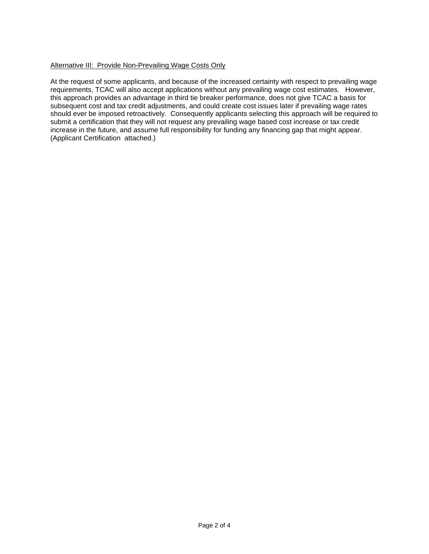# Alternative III: Provide Non-Prevailing Wage Costs Only

At the request of some applicants, and because of the increased certainty with respect to prevailing wage requirements, TCAC will also accept applications without any prevailing wage cost estimates. However, this approach provides an advantage in third tie breaker performance, does not give TCAC a basis for subsequent cost and tax credit adjustments, and could create cost issues later if prevailing wage rates should ever be imposed retroactively. Consequently applicants selecting this approach will be required to submit a certification that they will not request any prevailing wage based cost increase or tax credit increase in the future, and assume full responsibility for funding any financing gap that might appear. (Applicant Certification attached.)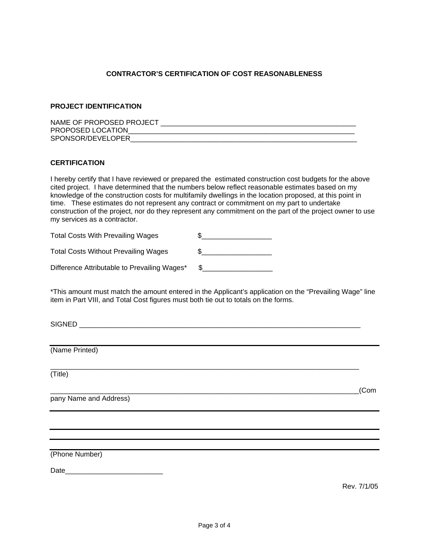# **CONTRACTOR'S CERTIFICATION OF COST REASONABLENESS**

# **PROJECT IDENTIFICATION**

| NAME OF PROPOSED PROJECT |  |
|--------------------------|--|
| PROPOSED LOCATION        |  |
| SPONSOR/DEVELOPER        |  |

### **CERTIFICATION**

I hereby certify that I have reviewed or prepared the estimated construction cost budgets for the above cited project. I have determined that the numbers below reflect reasonable estimates based on my knowledge of the construction costs for multifamily dwellings in the location proposed, at this point in time. These estimates do not represent any contract or commitment on my part to undertake construction of the project, nor do they represent any commitment on the part of the project owner to use my services as a contractor.

| <b>Total Costs With Prevailing Wages</b>     |  |
|----------------------------------------------|--|
| <b>Total Costs Without Prevailing Wages</b>  |  |
| Difference Attributable to Prevailing Wages* |  |

\*This amount must match the amount entered in the Applicant's application on the "Prevailing Wage" line item in Part VIII, and Total Cost figures must both tie out to totals on the forms.

\_\_\_\_\_\_\_\_\_\_\_\_\_\_\_\_\_\_\_\_\_\_\_\_\_\_\_\_\_\_\_\_\_\_\_\_\_\_\_\_\_\_\_\_\_\_\_\_\_\_\_\_\_\_\_\_\_\_\_\_\_\_\_\_\_\_\_\_\_\_\_\_\_\_\_\_\_\_\_

\_\_\_\_\_\_\_\_\_\_\_\_\_\_\_\_\_\_\_\_\_\_\_\_\_\_\_\_\_\_\_\_\_\_\_\_\_\_\_\_\_\_\_\_\_\_\_\_\_\_\_\_\_\_\_\_\_\_\_\_\_\_\_\_\_\_\_\_\_\_\_\_\_\_\_\_\_\_\_(Com

SIGNED **with a set of the set of the set of the set of the set of the set of the set of the set of the set of the set of the set of the set of the set of the set of the set of the set of the set of the set of the set of th** 

(Name Printed)

(Title)

pany Name and Address)

(Phone Number)

Date\_\_\_\_\_\_\_\_\_\_\_\_\_\_\_\_\_\_\_\_\_\_\_\_\_

Rev. 7/1/05